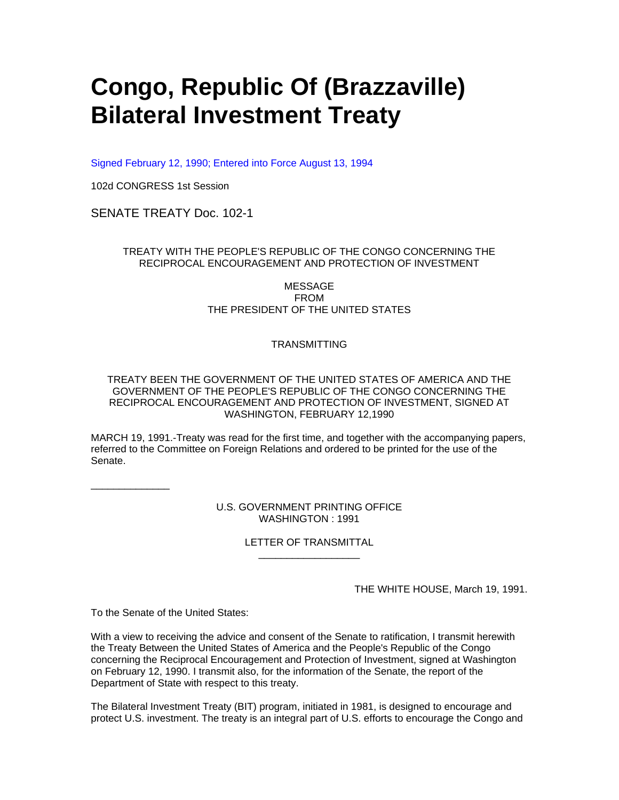# **Congo, Republic Of (Brazzaville) Bilateral Investment Treaty**

Signed February 12, 1990; Entered into Force August 13, 1994

102d CONGRESS 1st Session

SENATE TREATY Doc. 102-1

# TREATY WITH THE PEOPLE'S REPUBLIC OF THE CONGO CONCERNING THE RECIPROCAL ENCOURAGEMENT AND PROTECTION OF INVESTMENT

MESSAGE FROM THE PRESIDENT OF THE UNITED STATES

# **TRANSMITTING**

# TREATY BEEN THE GOVERNMENT OF THE UNITED STATES OF AMERICA AND THE GOVERNMENT OF THE PEOPLE'S REPUBLIC OF THE CONGO CONCERNING THE RECIPROCAL ENCOURAGEMENT AND PROTECTION OF INVESTMENT, SIGNED AT WASHINGTON, FEBRUARY 12,1990

MARCH 19, 1991.-Treaty was read for the first time, and together with the accompanying papers, referred to the Committee on Foreign Relations and ordered to be printed for the use of the Senate.

> U.S. GOVERNMENT PRINTING OFFICE WASHINGTON : 1991

> > LETTER OF TRANSMITTAL \_\_\_\_\_\_\_\_\_\_\_\_\_\_\_\_\_\_

> > > THE WHITE HOUSE, March 19, 1991.

To the Senate of the United States:

\_\_\_\_\_\_\_\_\_\_\_\_\_\_

With a view to receiving the advice and consent of the Senate to ratification, I transmit herewith the Treaty Between the United States of America and the People's Republic of the Congo concerning the Reciprocal Encouragement and Protection of Investment, signed at Washington on February 12, 1990. I transmit also, for the information of the Senate, the report of the Department of State with respect to this treaty.

The Bilateral Investment Treaty (BIT) program, initiated in 1981, is designed to encourage and protect U.S. investment. The treaty is an integral part of U.S. efforts to encourage the Congo and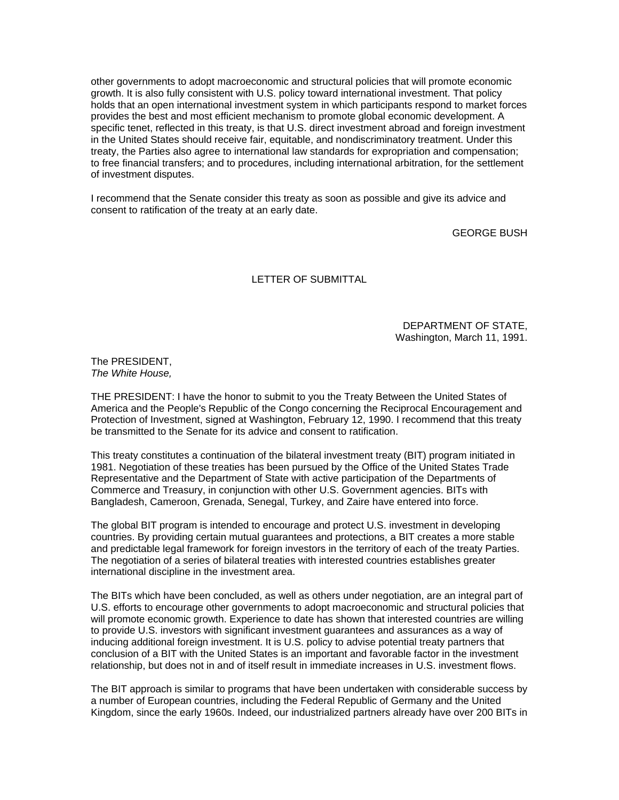other governments to adopt macroeconomic and structural policies that will promote economic growth. It is also fully consistent with U.S. policy toward international investment. That policy holds that an open international investment system in which participants respond to market forces provides the best and most efficient mechanism to promote global economic development. A specific tenet, reflected in this treaty, is that U.S. direct investment abroad and foreign investment in the United States should receive fair, equitable, and nondiscriminatory treatment. Under this treaty, the Parties also agree to international law standards for expropriation and compensation; to free financial transfers; and to procedures, including international arbitration, for the settlement of investment disputes.

I recommend that the Senate consider this treaty as soon as possible and give its advice and consent to ratification of the treaty at an early date.

GEORGE BUSH

#### LETTER OF SUBMITTAL

DEPARTMENT OF STATE, Washington, March 11, 1991.

The PRESIDENT, *The White House,* 

THE PRESIDENT: I have the honor to submit to you the Treaty Between the United States of America and the People's Republic of the Congo concerning the Reciprocal Encouragement and Protection of Investment, signed at Washington, February 12, 1990. I recommend that this treaty be transmitted to the Senate for its advice and consent to ratification.

This treaty constitutes a continuation of the bilateral investment treaty (BIT) program initiated in 1981. Negotiation of these treaties has been pursued by the Office of the United States Trade Representative and the Department of State with active participation of the Departments of Commerce and Treasury, in conjunction with other U.S. Government agencies. BITs with Bangladesh, Cameroon, Grenada, Senegal, Turkey, and Zaire have entered into force.

The global BIT program is intended to encourage and protect U.S. investment in developing countries. By providing certain mutual guarantees and protections, a BIT creates a more stable and predictable legal framework for foreign investors in the territory of each of the treaty Parties. The negotiation of a series of bilateral treaties with interested countries establishes greater international discipline in the investment area.

The BITs which have been concluded, as well as others under negotiation, are an integral part of U.S. efforts to encourage other governments to adopt macroeconomic and structural policies that will promote economic growth. Experience to date has shown that interested countries are willing to provide U.S. investors with significant investment guarantees and assurances as a way of inducing additional foreign investment. It is U.S. policy to advise potential treaty partners that conclusion of a BIT with the United States is an important and favorable factor in the investment relationship, but does not in and of itself result in immediate increases in U.S. investment flows.

The BIT approach is similar to programs that have been undertaken with considerable success by a number of European countries, including the Federal Republic of Germany and the United Kingdom, since the early 1960s. Indeed, our industrialized partners already have over 200 BITs in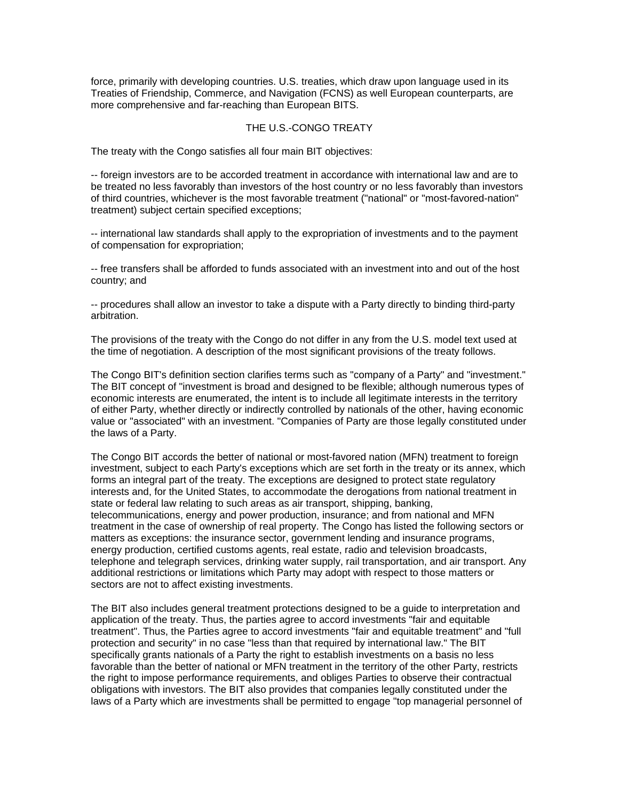force, primarily with developing countries. U.S. treaties, which draw upon language used in its Treaties of Friendship, Commerce, and Navigation (FCNS) as well European counterparts, are more comprehensive and far-reaching than European BITS.

#### THE U.S.-CONGO TREATY

The treaty with the Congo satisfies all four main BIT objectives:

-- foreign investors are to be accorded treatment in accordance with international law and are to be treated no less favorably than investors of the host country or no less favorably than investors of third countries, whichever is the most favorable treatment ("national" or "most-favored-nation" treatment) subject certain specified exceptions;

-- international law standards shall apply to the expropriation of investments and to the payment of compensation for expropriation;

-- free transfers shall be afforded to funds associated with an investment into and out of the host country; and

-- procedures shall allow an investor to take a dispute with a Party directly to binding third-party arbitration.

The provisions of the treaty with the Congo do not differ in any from the U.S. model text used at the time of negotiation. A description of the most significant provisions of the treaty follows.

The Congo BIT's definition section clarifies terms such as "company of a Party" and "investment." The BIT concept of "investment is broad and designed to be flexible; although numerous types of economic interests are enumerated, the intent is to include all legitimate interests in the territory of either Party, whether directly or indirectly controlled by nationals of the other, having economic value or "associated" with an investment. "Companies of Party are those legally constituted under the laws of a Party.

The Congo BIT accords the better of national or most-favored nation (MFN) treatment to foreign investment, subject to each Party's exceptions which are set forth in the treaty or its annex, which forms an integral part of the treaty. The exceptions are designed to protect state regulatory interests and, for the United States, to accommodate the derogations from national treatment in state or federal law relating to such areas as air transport, shipping, banking, telecommunications, energy and power production, insurance; and from national and MFN treatment in the case of ownership of real property. The Congo has listed the following sectors or matters as exceptions: the insurance sector, government lending and insurance programs, energy production, certified customs agents, real estate, radio and television broadcasts, telephone and telegraph services, drinking water supply, rail transportation, and air transport. Any additional restrictions or limitations which Party may adopt with respect to those matters or sectors are not to affect existing investments.

The BIT also includes general treatment protections designed to be a guide to interpretation and application of the treaty. Thus, the parties agree to accord investments "fair and equitable treatment". Thus, the Parties agree to accord investments "fair and equitable treatment" and "full protection and security" in no case "less than that required by international law." The BIT specifically grants nationals of a Party the right to establish investments on a basis no less favorable than the better of national or MFN treatment in the territory of the other Party, restricts the right to impose performance requirements, and obliges Parties to observe their contractual obligations with investors. The BIT also provides that companies legally constituted under the laws of a Party which are investments shall be permitted to engage "top managerial personnel of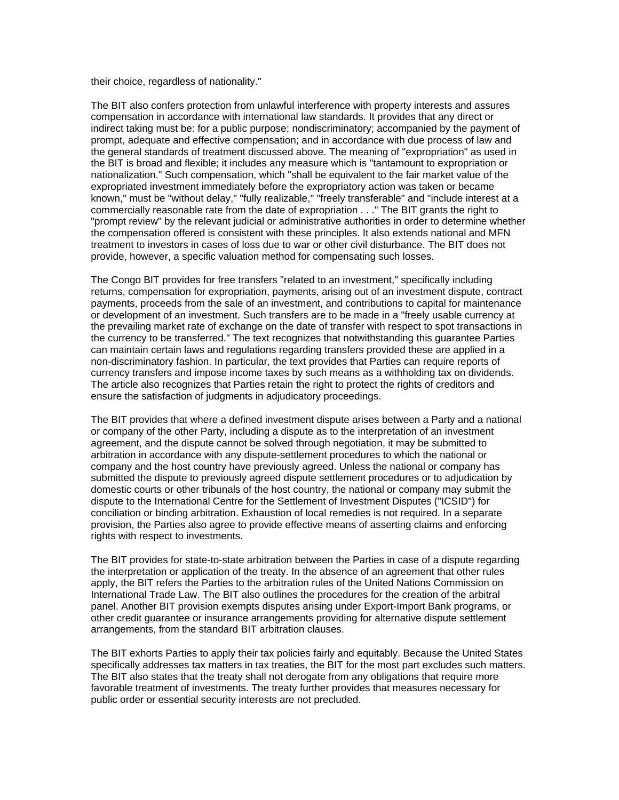their choice, regardless of nationality."

The BIT also confers protection from unlawful interference with property interests and assures compensation in accordance with international law standards. It provides that any direct or indirect taking must be: for a public purpose; nondiscriminatory; accompanied by the payment of prompt, adequate and effective compensation; and in accordance with due process of law and the general standards of treatment discussed above. The meaning of "expropriation" as used in the BIT is broad and flexible; it includes any measure which is "tantamount to expropriation or nationalization." Such compensation, which "shall be equivalent to the fair market value of the expropriated investment immediately before the expropriatory action was taken or became known," must be "without delay," "fully realizable," "freely transferable" and "include interest at a commercially reasonable rate from the date of expropriation . . ." The BIT grants the right to "prompt review" by the relevant judicial or administrative authorities in order to determine whether the compensation offered is consistent with these principles. It also extends national and MFN treatment to investors in cases of loss due to war or other civil disturbance. The BIT does not provide, however, a specific valuation method for compensating such losses.

The Congo BIT provides for free transfers "related to an investment," specifically including returns, compensation for expropriation, payments, arising out of an investment dispute, contract payments, proceeds from the sale of an investment, and contributions to capital for maintenance or development of an investment. Such transfers are to be made in a "freely usable currency at the prevailing market rate of exchange on the date of transfer with respect to spot transactions in the currency to be transferred." The text recognizes that notwithstanding this guarantee Parties can maintain certain laws and regulations regarding transfers provided these are applied in a non-discriminatory fashion. In particular, the text provides that Parties can require reports of currency transfers and impose income taxes by such means as a withholding tax on dividends. The article also recognizes that Parties retain the right to protect the rights of creditors and ensure the satisfaction of judgments in adjudicatory proceedings.

The BIT provides that where a defined investment dispute arises between a Party and a national or company of the other Party, including a dispute as to the interpretation of an investment agreement, and the dispute cannot be solved through negotiation, it may be submitted to arbitration in accordance with any dispute-settlement procedures to which the national or company and the host country have previously agreed. Unless the national or company has submitted the dispute to previously agreed dispute settlement procedures or to adjudication by domestic courts or other tribunals of the host country, the national or company may submit the dispute to the International Centre for the Settlement of Investment Disputes ("ICSID") for conciliation or binding arbitration. Exhaustion of local remedies is not required. In a separate provision, the Parties also agree to provide effective means of asserting claims and enforcing rights with respect to investments.

The BIT provides for state-to-state arbitration between the Parties in case of a dispute regarding the interpretation or application of the treaty. In the absence of an agreement that other rules apply, the BIT refers the Parties to the arbitration rules of the United Nations Commission on International Trade Law. The BIT also outlines the procedures for the creation of the arbitral panel. Another BIT provision exempts disputes arising under Export-Import Bank programs, or other credit guarantee or insurance arrangements providing for alternative dispute settlement arrangements, from the standard BIT arbitration clauses.

The BIT exhorts Parties to apply their tax policies fairly and equitably. Because the United States specifically addresses tax matters in tax treaties, the BIT for the most part excludes such matters. The BIT also states that the treaty shall not derogate from any obligations that require more favorable treatment of investments. The treaty further provides that measures necessary for public order or essential security interests are not precluded.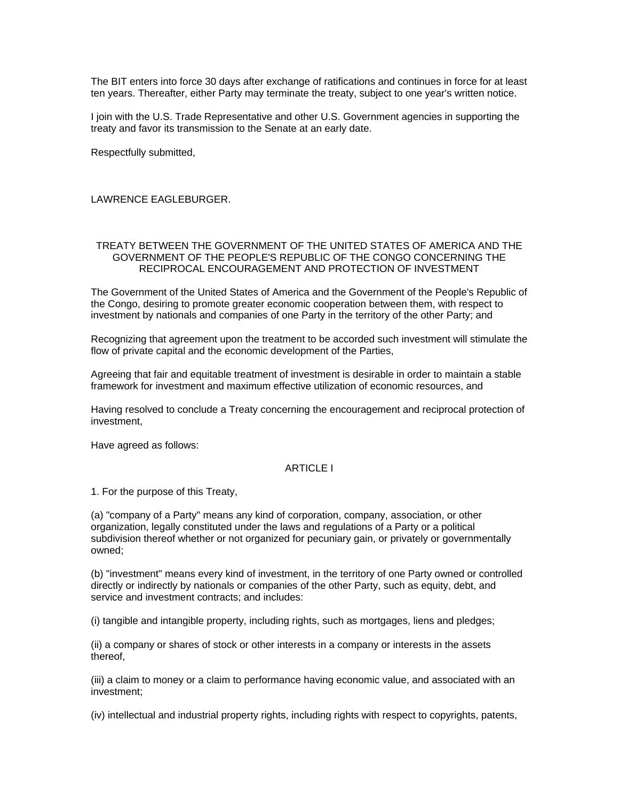The BIT enters into force 30 days after exchange of ratifications and continues in force for at least ten years. Thereafter, either Party may terminate the treaty, subject to one year's written notice.

I join with the U.S. Trade Representative and other U.S. Government agencies in supporting the treaty and favor its transmission to the Senate at an early date.

Respectfully submitted,

# LAWRENCE EAGLEBURGER.

# TREATY BETWEEN THE GOVERNMENT OF THE UNITED STATES OF AMERICA AND THE GOVERNMENT OF THE PEOPLE'S REPUBLIC OF THE CONGO CONCERNING THE RECIPROCAL ENCOURAGEMENT AND PROTECTION OF INVESTMENT

The Government of the United States of America and the Government of the People's Republic of the Congo, desiring to promote greater economic cooperation between them, with respect to investment by nationals and companies of one Party in the territory of the other Party; and

Recognizing that agreement upon the treatment to be accorded such investment will stimulate the flow of private capital and the economic development of the Parties,

Agreeing that fair and equitable treatment of investment is desirable in order to maintain a stable framework for investment and maximum effective utilization of economic resources, and

Having resolved to conclude a Treaty concerning the encouragement and reciprocal protection of investment,

Have agreed as follows:

# ARTICLE I

1. For the purpose of this Treaty,

(a) "company of a Party" means any kind of corporation, company, association, or other organization, legally constituted under the laws and regulations of a Party or a political subdivision thereof whether or not organized for pecuniary gain, or privately or governmentally owned;

(b) "investment" means every kind of investment, in the territory of one Party owned or controlled directly or indirectly by nationals or companies of the other Party, such as equity, debt, and service and investment contracts; and includes:

(i) tangible and intangible property, including rights, such as mortgages, liens and pledges;

(ii) a company or shares of stock or other interests in a company or interests in the assets thereof,

(iii) a claim to money or a claim to performance having economic value, and associated with an investment;

(iv) intellectual and industrial property rights, including rights with respect to copyrights, patents,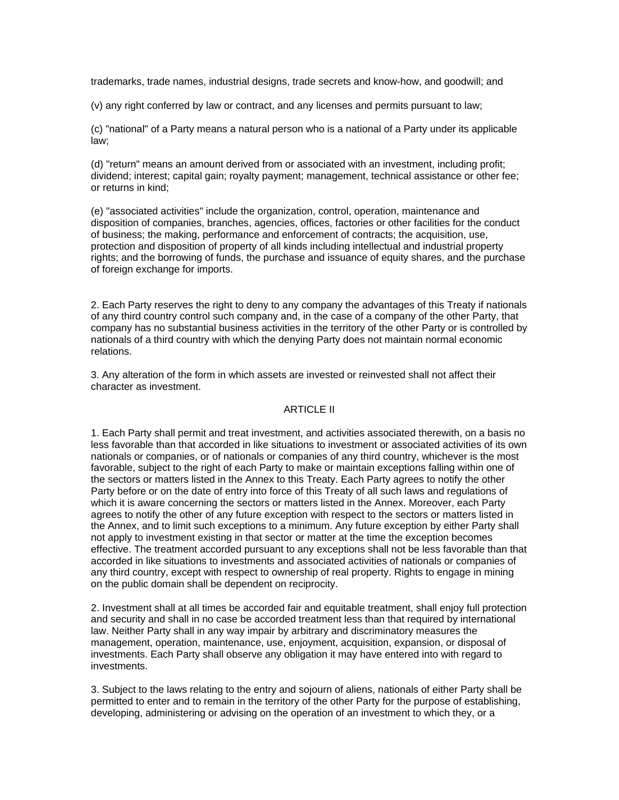trademarks, trade names, industrial designs, trade secrets and know-how, and goodwill; and

(v) any right conferred by law or contract, and any licenses and permits pursuant to law;

(c) "national" of a Party means a natural person who is a national of a Party under its applicable law;

(d) "return" means an amount derived from or associated with an investment, including profit; dividend; interest; capital gain; royalty payment; management, technical assistance or other fee; or returns in kind;

(e) "associated activities" include the organization, control, operation, maintenance and disposition of companies, branches, agencies, offices, factories or other facilities for the conduct of business; the making, performance and enforcement of contracts; the acquisition, use, protection and disposition of property of all kinds including intellectual and industrial property rights; and the borrowing of funds, the purchase and issuance of equity shares, and the purchase of foreign exchange for imports.

2. Each Party reserves the right to deny to any company the advantages of this Treaty if nationals of any third country control such company and, in the case of a company of the other Party, that company has no substantial business activities in the territory of the other Party or is controlled by nationals of a third country with which the denying Party does not maintain normal economic relations.

3. Any alteration of the form in which assets are invested or reinvested shall not affect their character as investment.

# ARTICLE II

1. Each Party shall permit and treat investment, and activities associated therewith, on a basis no less favorable than that accorded in like situations to investment or associated activities of its own nationals or companies, or of nationals or companies of any third country, whichever is the most favorable, subject to the right of each Party to make or maintain exceptions falling within one of the sectors or matters listed in the Annex to this Treaty. Each Party agrees to notify the other Party before or on the date of entry into force of this Treaty of all such laws and regulations of which it is aware concerning the sectors or matters listed in the Annex. Moreover, each Party agrees to notify the other of any future exception with respect to the sectors or matters listed in the Annex, and to limit such exceptions to a minimum. Any future exception by either Party shall not apply to investment existing in that sector or matter at the time the exception becomes effective. The treatment accorded pursuant to any exceptions shall not be less favorable than that accorded in like situations to investments and associated activities of nationals or companies of any third country, except with respect to ownership of real property. Rights to engage in mining on the public domain shall be dependent on reciprocity.

2. Investment shall at all times be accorded fair and equitable treatment, shall enjoy full protection and security and shall in no case be accorded treatment less than that required by international law. Neither Party shall in any way impair by arbitrary and discriminatory measures the management, operation, maintenance, use, enjoyment, acquisition, expansion, or disposal of investments. Each Party shall observe any obligation it may have entered into with regard to investments.

3. Subject to the laws relating to the entry and sojourn of aliens, nationals of either Party shall be permitted to enter and to remain in the territory of the other Party for the purpose of establishing, developing, administering or advising on the operation of an investment to which they, or a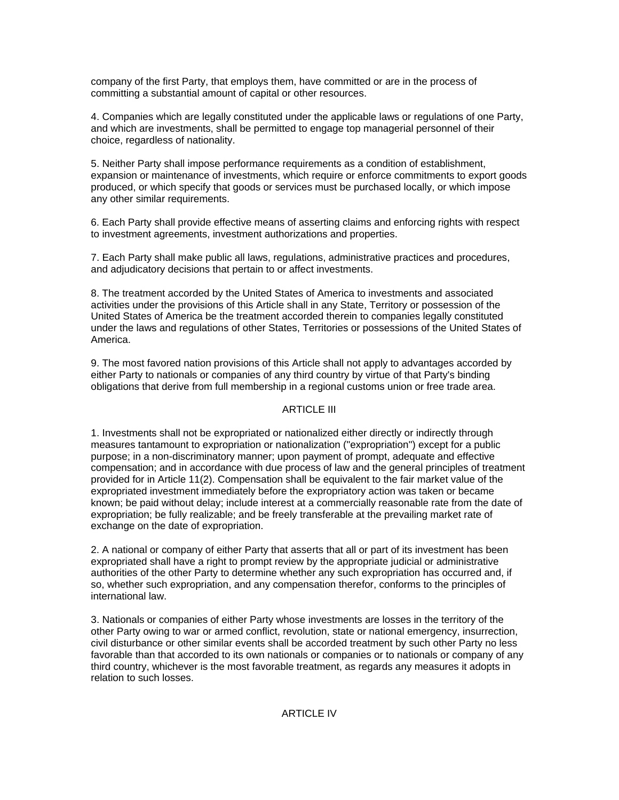company of the first Party, that employs them, have committed or are in the process of committing a substantial amount of capital or other resources.

4. Companies which are legally constituted under the applicable laws or regulations of one Party, and which are investments, shall be permitted to engage top managerial personnel of their choice, regardless of nationality.

5. Neither Party shall impose performance requirements as a condition of establishment, expansion or maintenance of investments, which require or enforce commitments to export goods produced, or which specify that goods or services must be purchased locally, or which impose any other similar requirements.

6. Each Party shall provide effective means of asserting claims and enforcing rights with respect to investment agreements, investment authorizations and properties.

7. Each Party shall make public all laws, regulations, administrative practices and procedures, and adjudicatory decisions that pertain to or affect investments.

8. The treatment accorded by the United States of America to investments and associated activities under the provisions of this Article shall in any State, Territory or possession of the United States of America be the treatment accorded therein to companies legally constituted under the laws and regulations of other States, Territories or possessions of the United States of America.

9. The most favored nation provisions of this Article shall not apply to advantages accorded by either Party to nationals or companies of any third country by virtue of that Party's binding obligations that derive from full membership in a regional customs union or free trade area.

#### ARTICLE III

1. Investments shall not be expropriated or nationalized either directly or indirectly through measures tantamount to expropriation or nationalization ("expropriation") except for a public purpose; in a non-discriminatory manner; upon payment of prompt, adequate and effective compensation; and in accordance with due process of law and the general principles of treatment provided for in Article 11(2). Compensation shall be equivalent to the fair market value of the expropriated investment immediately before the expropriatory action was taken or became known; be paid without delay; include interest at a commercially reasonable rate from the date of expropriation; be fully realizable; and be freely transferable at the prevailing market rate of exchange on the date of expropriation.

2. A national or company of either Party that asserts that all or part of its investment has been expropriated shall have a right to prompt review by the appropriate judicial or administrative authorities of the other Party to determine whether any such expropriation has occurred and, if so, whether such expropriation, and any compensation therefor, conforms to the principles of international law.

3. Nationals or companies of either Party whose investments are losses in the territory of the other Party owing to war or armed conflict, revolution, state or national emergency, insurrection, civil disturbance or other similar events shall be accorded treatment by such other Party no less favorable than that accorded to its own nationals or companies or to nationals or company of any third country, whichever is the most favorable treatment, as regards any measures it adopts in relation to such losses.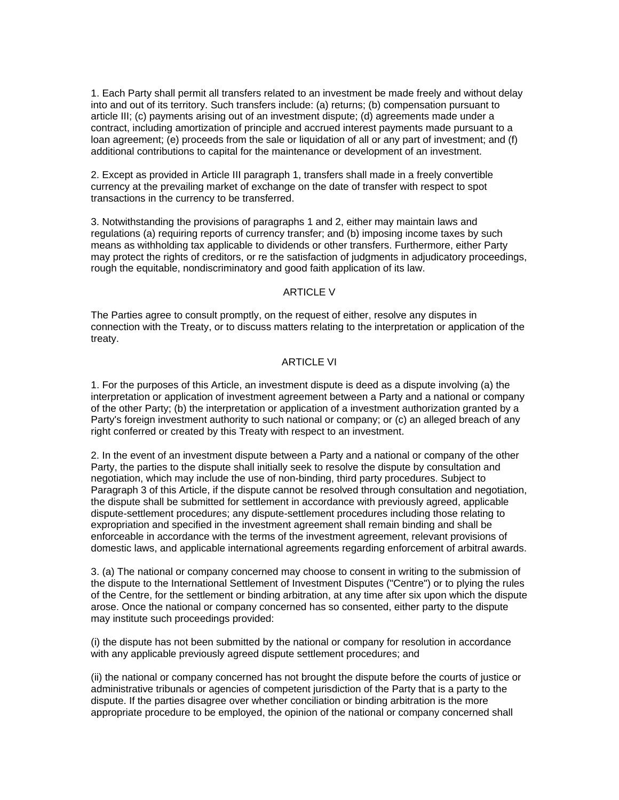1. Each Party shall permit all transfers related to an investment be made freely and without delay into and out of its territory. Such transfers include: (a) returns; (b) compensation pursuant to article III; (c) payments arising out of an investment dispute; (d) agreements made under a contract, including amortization of principle and accrued interest payments made pursuant to a loan agreement; (e) proceeds from the sale or liquidation of all or any part of investment; and (f) additional contributions to capital for the maintenance or development of an investment.

2. Except as provided in Article III paragraph 1, transfers shall made in a freely convertible currency at the prevailing market of exchange on the date of transfer with respect to spot transactions in the currency to be transferred.

3. Notwithstanding the provisions of paragraphs 1 and 2, either may maintain laws and regulations (a) requiring reports of currency transfer; and (b) imposing income taxes by such means as withholding tax applicable to dividends or other transfers. Furthermore, either Party may protect the rights of creditors, or re the satisfaction of judgments in adjudicatory proceedings, rough the equitable, nondiscriminatory and good faith application of its law.

#### **ARTICLE V**

The Parties agree to consult promptly, on the request of either, resolve any disputes in connection with the Treaty, or to discuss matters relating to the interpretation or application of the treaty.

# ARTICLE VI

1. For the purposes of this Article, an investment dispute is deed as a dispute involving (a) the interpretation or application of investment agreement between a Party and a national or company of the other Party; (b) the interpretation or application of a investment authorization granted by a Party's foreign investment authority to such national or company; or (c) an alleged breach of any right conferred or created by this Treaty with respect to an investment.

2. In the event of an investment dispute between a Party and a national or company of the other Party, the parties to the dispute shall initially seek to resolve the dispute by consultation and negotiation, which may include the use of non-binding, third party procedures. Subject to Paragraph 3 of this Article, if the dispute cannot be resolved through consultation and negotiation, the dispute shall be submitted for settlement in accordance with previously agreed, applicable dispute-settlement procedures; any dispute-settlement procedures including those relating to expropriation and specified in the investment agreement shall remain binding and shall be enforceable in accordance with the terms of the investment agreement, relevant provisions of domestic laws, and applicable international agreements regarding enforcement of arbitral awards.

3. (a) The national or company concerned may choose to consent in writing to the submission of the dispute to the International Settlement of Investment Disputes ("Centre") or to plying the rules of the Centre, for the settlement or binding arbitration, at any time after six upon which the dispute arose. Once the national or company concerned has so consented, either party to the dispute may institute such proceedings provided:

(i) the dispute has not been submitted by the national or company for resolution in accordance with any applicable previously agreed dispute settlement procedures; and

(ii) the national or company concerned has not brought the dispute before the courts of justice or administrative tribunals or agencies of competent jurisdiction of the Party that is a party to the dispute. If the parties disagree over whether conciliation or binding arbitration is the more appropriate procedure to be employed, the opinion of the national or company concerned shall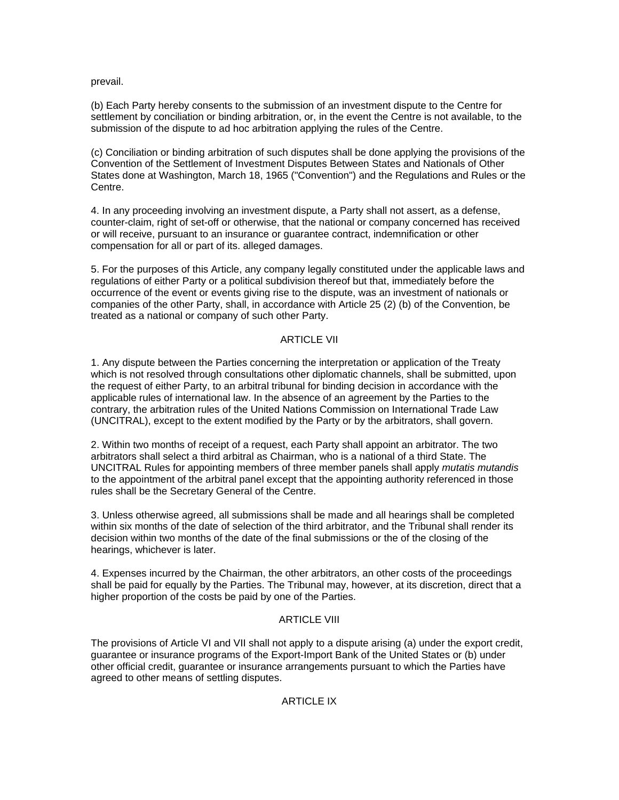## prevail.

(b) Each Party hereby consents to the submission of an investment dispute to the Centre for settlement by conciliation or binding arbitration, or, in the event the Centre is not available, to the submission of the dispute to ad hoc arbitration applying the rules of the Centre.

(c) Conciliation or binding arbitration of such disputes shall be done applying the provisions of the Convention of the Settlement of Investment Disputes Between States and Nationals of Other States done at Washington, March 18, 1965 ("Convention") and the Regulations and Rules or the Centre.

4. In any proceeding involving an investment dispute, a Party shall not assert, as a defense, counter-claim, right of set-off or otherwise, that the national or company concerned has received or will receive, pursuant to an insurance or guarantee contract, indemnification or other compensation for all or part of its. alleged damages.

5. For the purposes of this Article, any company legally constituted under the applicable laws and regulations of either Party or a political subdivision thereof but that, immediately before the occurrence of the event or events giving rise to the dispute, was an investment of nationals or companies of the other Party, shall, in accordance with Article 25 (2) (b) of the Convention, be treated as a national or company of such other Party.

# ARTICLE VII

1. Any dispute between the Parties concerning the interpretation or application of the Treaty which is not resolved through consultations other diplomatic channels, shall be submitted, upon the request of either Party, to an arbitral tribunal for binding decision in accordance with the applicable rules of international law. In the absence of an agreement by the Parties to the contrary, the arbitration rules of the United Nations Commission on International Trade Law (UNCITRAL), except to the extent modified by the Party or by the arbitrators, shall govern.

2. Within two months of receipt of a request, each Party shall appoint an arbitrator. The two arbitrators shall select a third arbitral as Chairman, who is a national of a third State. The UNCITRAL Rules for appointing members of three member panels shall apply *mutatis mutandis*  to the appointment of the arbitral panel except that the appointing authority referenced in those rules shall be the Secretary General of the Centre.

3. Unless otherwise agreed, all submissions shall be made and all hearings shall be completed within six months of the date of selection of the third arbitrator, and the Tribunal shall render its decision within two months of the date of the final submissions or the of the closing of the hearings, whichever is later.

4. Expenses incurred by the Chairman, the other arbitrators, an other costs of the proceedings shall be paid for equally by the Parties. The Tribunal may, however, at its discretion, direct that a higher proportion of the costs be paid by one of the Parties.

# ARTICLE VIII

The provisions of Article VI and VII shall not apply to a dispute arising (a) under the export credit, guarantee or insurance programs of the Export-Import Bank of the United States or (b) under other official credit, guarantee or insurance arrangements pursuant to which the Parties have agreed to other means of settling disputes.

# ARTICLE IX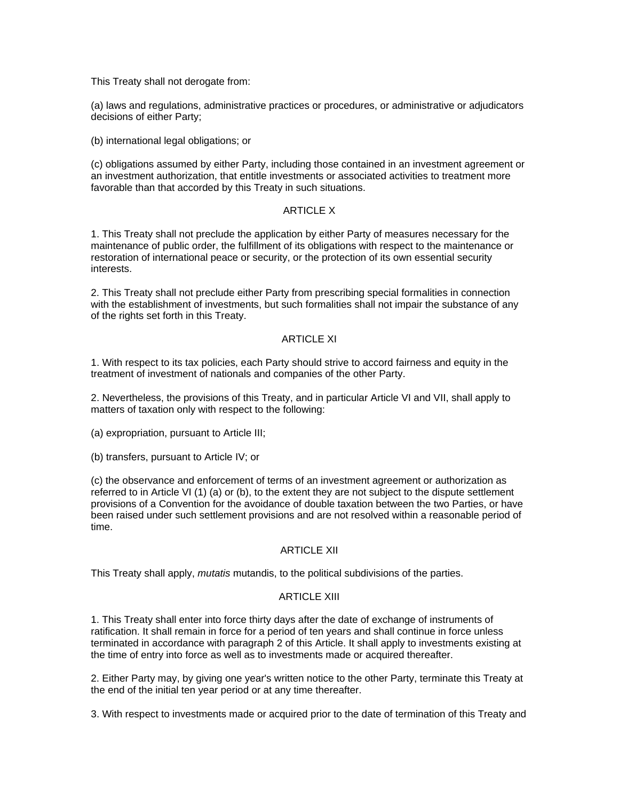This Treaty shall not derogate from:

(a) laws and regulations, administrative practices or procedures, or administrative or adjudicators decisions of either Party;

(b) international legal obligations; or

(c) obligations assumed by either Party, including those contained in an investment agreement or an investment authorization, that entitle investments or associated activities to treatment more favorable than that accorded by this Treaty in such situations.

# ARTICLE X

1. This Treaty shall not preclude the application by either Party of measures necessary for the maintenance of public order, the fulfillment of its obligations with respect to the maintenance or restoration of international peace or security, or the protection of its own essential security interests.

2. This Treaty shall not preclude either Party from prescribing special formalities in connection with the establishment of investments, but such formalities shall not impair the substance of any of the rights set forth in this Treaty.

# ARTICLE XI

1. With respect to its tax policies, each Party should strive to accord fairness and equity in the treatment of investment of nationals and companies of the other Party.

2. Nevertheless, the provisions of this Treaty, and in particular Article VI and VII, shall apply to matters of taxation only with respect to the following:

(a) expropriation, pursuant to Article III;

(b) transfers, pursuant to Article IV; or

(c) the observance and enforcement of terms of an investment agreement or authorization as referred to in Article VI (1) (a) or (b), to the extent they are not subject to the dispute settlement provisions of a Convention for the avoidance of double taxation between the two Parties, or have been raised under such settlement provisions and are not resolved within a reasonable period of time.

# ARTICLE XII

This Treaty shall apply, *mutatis* mutandis, to the political subdivisions of the parties.

# ARTICLE XIII

1. This Treaty shall enter into force thirty days after the date of exchange of instruments of ratification. It shall remain in force for a period of ten years and shall continue in force unless terminated in accordance with paragraph 2 of this Article. It shall apply to investments existing at the time of entry into force as well as to investments made or acquired thereafter.

2. Either Party may, by giving one year's written notice to the other Party, terminate this Treaty at the end of the initial ten year period or at any time thereafter.

3. With respect to investments made or acquired prior to the date of termination of this Treaty and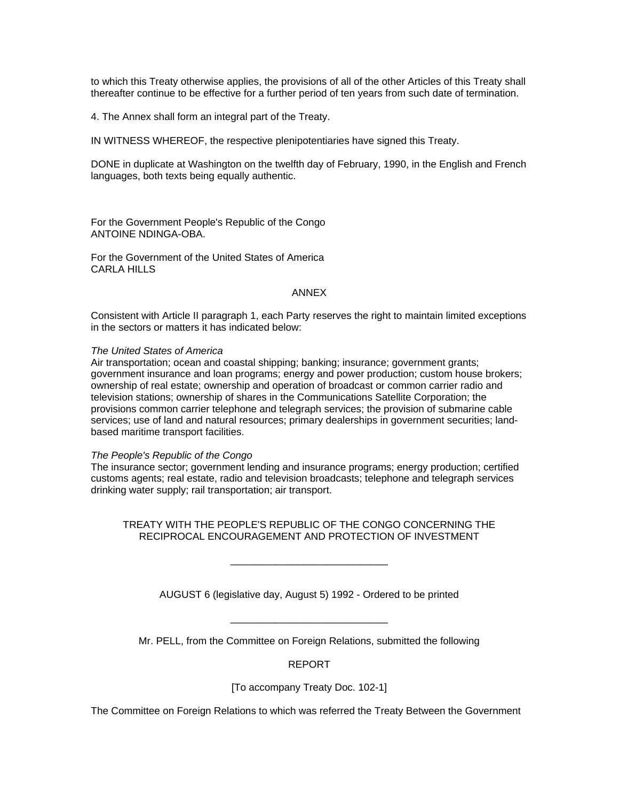to which this Treaty otherwise applies, the provisions of all of the other Articles of this Treaty shall thereafter continue to be effective for a further period of ten years from such date of termination.

4. The Annex shall form an integral part of the Treaty.

IN WITNESS WHEREOF, the respective plenipotentiaries have signed this Treaty.

DONE in duplicate at Washington on the twelfth day of February, 1990, in the English and French languages, both texts being equally authentic.

For the Government People's Republic of the Congo ANTOINE NDINGA-OBA.

For the Government of the United States of America CARLA HILLS

#### ANNEX

Consistent with Article II paragraph 1, each Party reserves the right to maintain limited exceptions in the sectors or matters it has indicated below:

# *The United States of America*

Air transportation; ocean and coastal shipping; banking; insurance; government grants; government insurance and loan programs; energy and power production; custom house brokers; ownership of real estate; ownership and operation of broadcast or common carrier radio and television stations; ownership of shares in the Communications Satellite Corporation; the provisions common carrier telephone and telegraph services; the provision of submarine cable services; use of land and natural resources; primary dealerships in government securities; landbased maritime transport facilities.

#### *The People's Republic of the Congo*

The insurance sector; government lending and insurance programs; energy production; certified customs agents; real estate, radio and television broadcasts; telephone and telegraph services drinking water supply; rail transportation; air transport.

# TREATY WITH THE PEOPLE'S REPUBLIC OF THE CONGO CONCERNING THE RECIPROCAL ENCOURAGEMENT AND PROTECTION OF INVESTMENT

\_\_\_\_\_\_\_\_\_\_\_\_\_\_\_\_\_\_\_\_\_\_\_\_\_\_\_\_

AUGUST 6 (legislative day, August 5) 1992 - Ordered to be printed

Mr. PELL, from the Committee on Foreign Relations, submitted the following

\_\_\_\_\_\_\_\_\_\_\_\_\_\_\_\_\_\_\_\_\_\_\_\_\_\_\_\_

REPORT

[To accompany Treaty Doc. 102-1]

The Committee on Foreign Relations to which was referred the Treaty Between the Government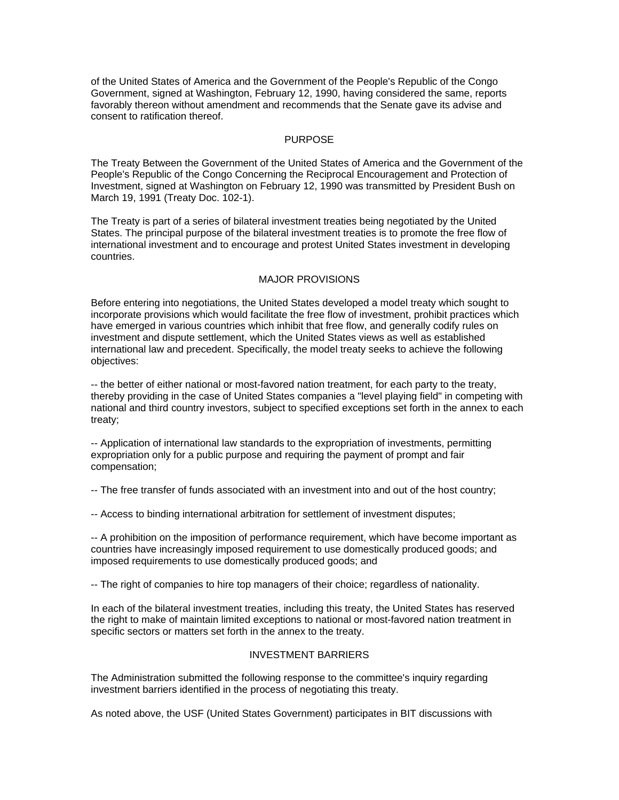of the United States of America and the Government of the People's Republic of the Congo Government, signed at Washington, February 12, 1990, having considered the same, reports favorably thereon without amendment and recommends that the Senate gave its advise and consent to ratification thereof.

#### PURPOSE

The Treaty Between the Government of the United States of America and the Government of the People's Republic of the Congo Concerning the Reciprocal Encouragement and Protection of Investment, signed at Washington on February 12, 1990 was transmitted by President Bush on March 19, 1991 (Treaty Doc. 102-1).

The Treaty is part of a series of bilateral investment treaties being negotiated by the United States. The principal purpose of the bilateral investment treaties is to promote the free flow of international investment and to encourage and protest United States investment in developing countries.

# MAJOR PROVISIONS

Before entering into negotiations, the United States developed a model treaty which sought to incorporate provisions which would facilitate the free flow of investment, prohibit practices which have emerged in various countries which inhibit that free flow, and generally codify rules on investment and dispute settlement, which the United States views as well as established international law and precedent. Specifically, the model treaty seeks to achieve the following objectives:

-- the better of either national or most-favored nation treatment, for each party to the treaty, thereby providing in the case of United States companies a "level playing field" in competing with national and third country investors, subject to specified exceptions set forth in the annex to each treaty;

-- Application of international law standards to the expropriation of investments, permitting expropriation only for a public purpose and requiring the payment of prompt and fair compensation;

-- The free transfer of funds associated with an investment into and out of the host country;

-- Access to binding international arbitration for settlement of investment disputes;

-- A prohibition on the imposition of performance requirement, which have become important as countries have increasingly imposed requirement to use domestically produced goods; and imposed requirements to use domestically produced goods; and

-- The right of companies to hire top managers of their choice; regardless of nationality.

In each of the bilateral investment treaties, including this treaty, the United States has reserved the right to make of maintain limited exceptions to national or most-favored nation treatment in specific sectors or matters set forth in the annex to the treaty.

#### INVESTMENT BARRIERS

The Administration submitted the following response to the committee's inquiry regarding investment barriers identified in the process of negotiating this treaty.

As noted above, the USF (United States Government) participates in BIT discussions with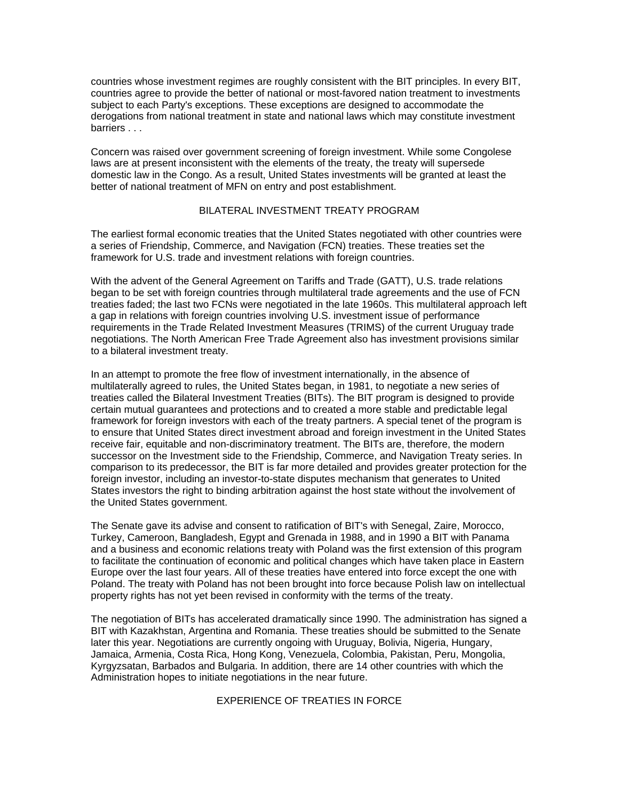countries whose investment regimes are roughly consistent with the BIT principles. In every BIT, countries agree to provide the better of national or most-favored nation treatment to investments subject to each Party's exceptions. These exceptions are designed to accommodate the derogations from national treatment in state and national laws which may constitute investment barriers . . .

Concern was raised over government screening of foreign investment. While some Congolese laws are at present inconsistent with the elements of the treaty, the treaty will supersede domestic law in the Congo. As a result, United States investments will be granted at least the better of national treatment of MFN on entry and post establishment.

#### BILATERAL INVESTMENT TREATY PROGRAM

The earliest formal economic treaties that the United States negotiated with other countries were a series of Friendship, Commerce, and Navigation (FCN) treaties. These treaties set the framework for U.S. trade and investment relations with foreign countries.

With the advent of the General Agreement on Tariffs and Trade (GATT), U.S. trade relations began to be set with foreign countries through multilateral trade agreements and the use of FCN treaties faded; the last two FCNs were negotiated in the late 1960s. This multilateral approach left a gap in relations with foreign countries involving U.S. investment issue of performance requirements in the Trade Related Investment Measures (TRIMS) of the current Uruguay trade negotiations. The North American Free Trade Agreement also has investment provisions similar to a bilateral investment treaty.

In an attempt to promote the free flow of investment internationally, in the absence of multilaterally agreed to rules, the United States began, in 1981, to negotiate a new series of treaties called the Bilateral Investment Treaties (BITs). The BIT program is designed to provide certain mutual guarantees and protections and to created a more stable and predictable legal framework for foreign investors with each of the treaty partners. A special tenet of the program is to ensure that United States direct investment abroad and foreign investment in the United States receive fair, equitable and non-discriminatory treatment. The BITs are, therefore, the modern successor on the Investment side to the Friendship, Commerce, and Navigation Treaty series. In comparison to its predecessor, the BIT is far more detailed and provides greater protection for the foreign investor, including an investor-to-state disputes mechanism that generates to United States investors the right to binding arbitration against the host state without the involvement of the United States government.

The Senate gave its advise and consent to ratification of BIT's with Senegal, Zaire, Morocco, Turkey, Cameroon, Bangladesh, Egypt and Grenada in 1988, and in 1990 a BIT with Panama and a business and economic relations treaty with Poland was the first extension of this program to facilitate the continuation of economic and political changes which have taken place in Eastern Europe over the last four years. All of these treaties have entered into force except the one with Poland. The treaty with Poland has not been brought into force because Polish law on intellectual property rights has not yet been revised in conformity with the terms of the treaty.

The negotiation of BITs has accelerated dramatically since 1990. The administration has signed a BIT with Kazakhstan, Argentina and Romania. These treaties should be submitted to the Senate later this year. Negotiations are currently ongoing with Uruguay, Bolivia, Nigeria, Hungary, Jamaica, Armenia, Costa Rica, Hong Kong, Venezuela, Colombia, Pakistan, Peru, Mongolia, Kyrgyzsatan, Barbados and Bulgaria. In addition, there are 14 other countries with which the Administration hopes to initiate negotiations in the near future.

# EXPERIENCE OF TREATIES IN FORCE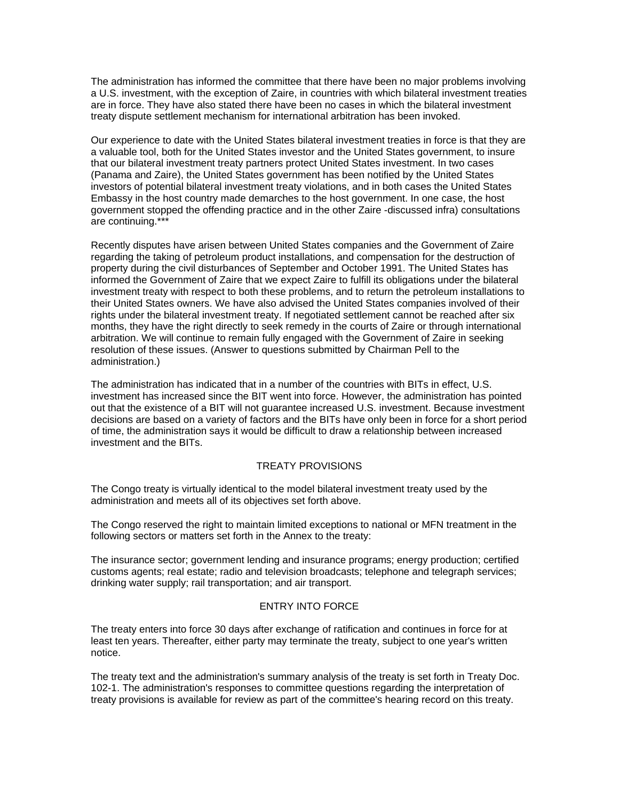The administration has informed the committee that there have been no major problems involving a U.S. investment, with the exception of Zaire, in countries with which bilateral investment treaties are in force. They have also stated there have been no cases in which the bilateral investment treaty dispute settlement mechanism for international arbitration has been invoked.

Our experience to date with the United States bilateral investment treaties in force is that they are a valuable tool, both for the United States investor and the United States government, to insure that our bilateral investment treaty partners protect United States investment. In two cases (Panama and Zaire), the United States government has been notified by the United States investors of potential bilateral investment treaty violations, and in both cases the United States Embassy in the host country made demarches to the host government. In one case, the host government stopped the offending practice and in the other Zaire -discussed infra) consultations are continuing.\*\*\*

Recently disputes have arisen between United States companies and the Government of Zaire regarding the taking of petroleum product installations, and compensation for the destruction of property during the civil disturbances of September and October 1991. The United States has informed the Government of Zaire that we expect Zaire to fulfill its obligations under the bilateral investment treaty with respect to both these problems, and to return the petroleum installations to their United States owners. We have also advised the United States companies involved of their rights under the bilateral investment treaty. If negotiated settlement cannot be reached after six months, they have the right directly to seek remedy in the courts of Zaire or through international arbitration. We will continue to remain fully engaged with the Government of Zaire in seeking resolution of these issues. (Answer to questions submitted by Chairman Pell to the administration.)

The administration has indicated that in a number of the countries with BITs in effect, U.S. investment has increased since the BIT went into force. However, the administration has pointed out that the existence of a BIT will not guarantee increased U.S. investment. Because investment decisions are based on a variety of factors and the BITs have only been in force for a short period of time, the administration says it would be difficult to draw a relationship between increased investment and the BITs.

# TREATY PROVISIONS

The Congo treaty is virtually identical to the model bilateral investment treaty used by the administration and meets all of its objectives set forth above.

The Congo reserved the right to maintain limited exceptions to national or MFN treatment in the following sectors or matters set forth in the Annex to the treaty:

The insurance sector; government lending and insurance programs; energy production; certified customs agents; real estate; radio and television broadcasts; telephone and telegraph services; drinking water supply; rail transportation; and air transport.

# ENTRY INTO FORCE

The treaty enters into force 30 days after exchange of ratification and continues in force for at least ten years. Thereafter, either party may terminate the treaty, subject to one year's written notice.

The treaty text and the administration's summary analysis of the treaty is set forth in Treaty Doc. 102-1. The administration's responses to committee questions regarding the interpretation of treaty provisions is available for review as part of the committee's hearing record on this treaty.